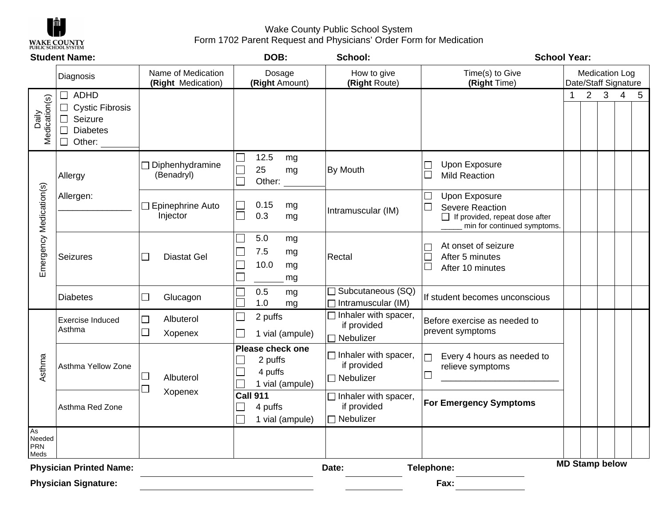

Wake County Public School System Form 1702 Parent Request and Physicians' Order Form for Medication

| <b>Student Name:</b>        |                                                                                                                        |                                          | DOB:                                                                      | School:                                                                                                                          | <b>School Year:</b>                                                                                                                   |                                               |                |                         |   |   |
|-----------------------------|------------------------------------------------------------------------------------------------------------------------|------------------------------------------|---------------------------------------------------------------------------|----------------------------------------------------------------------------------------------------------------------------------|---------------------------------------------------------------------------------------------------------------------------------------|-----------------------------------------------|----------------|-------------------------|---|---|
|                             | Diagnosis                                                                                                              | Name of Medication<br>(Right Medication) |                                                                           | How to give<br>(Right Route)                                                                                                     | Time(s) to Give<br>(Right Time)                                                                                                       | <b>Medication Log</b><br>Date/Staff Signature |                |                         |   |   |
| Medication(s)<br>Daily      | ADHD<br>$\perp$<br><b>Cystic Fibrosis</b><br>$\Box$<br>Seizure<br>$\Box$<br>$\Box$<br><b>Diabetes</b><br>$\Box$ Other: |                                          |                                                                           |                                                                                                                                  |                                                                                                                                       | 1                                             | $\overline{2}$ | $\overline{\mathbf{3}}$ | 4 | 5 |
| Emergency Medication(s)     | Allergy                                                                                                                | Diphenhydramine<br>(Benadryl)            | 12.5<br>mg<br>25<br>$\Box$<br>mg<br>$\Box$<br>Other:                      | By Mouth                                                                                                                         | <b>Upon Exposure</b><br><b>Mild Reaction</b><br>$\Box$                                                                                |                                               |                |                         |   |   |
|                             | Allergen:                                                                                                              | □ Epinephrine Auto<br>Injector           | 0.15<br>$\mathcal{L}^{\mathcal{A}}$<br>mg<br>0.3<br>mg                    | Intramuscular (IM)                                                                                                               | <b>Upon Exposure</b><br>$\Box$<br>$\Box$<br><b>Severe Reaction</b><br>□ If provided, repeat dose after<br>min for continued symptoms. |                                               |                |                         |   |   |
|                             | Seizures                                                                                                               | <b>Diastat Gel</b><br>┙                  | 5.0<br>mg<br>7.5<br>$\mathcal{L}_{\mathcal{A}}$<br>mg<br>10.0<br>mg<br>mg | Rectal                                                                                                                           | At onset of seizure<br>After 5 minutes<br>$\Box$<br>After 10 minutes                                                                  |                                               |                |                         |   |   |
|                             | <b>Diabetes</b>                                                                                                        | Glucagon<br>$\Box$                       | 0.5<br>mg<br>1.0<br>mg                                                    | $\overline{\Box}$ Subcutaneous (SQ)<br>$\Box$ Intramuscular (IM)                                                                 | If student becomes unconscious                                                                                                        |                                               |                |                         |   |   |
| Asthma                      | <b>Exercise Induced</b><br>Asthma                                                                                      | Albuterol<br>$\Box$<br>$\Box$<br>Xopenex | $\Box$<br>2 puffs<br>1 vial (ampule)                                      | $\Box$ Inhaler with spacer,<br>if provided<br>□ Nebulizer                                                                        | Before exercise as needed to<br>prevent symptoms                                                                                      |                                               |                |                         |   |   |
|                             | Asthma Yellow Zone                                                                                                     | $\Box$<br>Albuterol<br>┙<br>Xopenex      | Please check one<br>2 puffs<br>4 puffs<br>1 vial (ampule)                 | $\Box$ Inhaler with spacer,<br>if provided<br>$\Box$ Nebulizer<br>$\Box$ Inhaler with spacer,<br>if provided<br>$\Box$ Nebulizer | Every 4 hours as needed to<br>┐<br>relieve symptoms<br>$\Box$                                                                         |                                               |                |                         |   |   |
|                             | Asthma Red Zone                                                                                                        |                                          | <b>Call 911</b><br>4 puffs<br>$\Box$<br>1 vial (ampule)                   |                                                                                                                                  | <b>For Emergency Symptoms</b>                                                                                                         |                                               |                |                         |   |   |
| As<br>Needed<br>PRN<br>Meds |                                                                                                                        |                                          |                                                                           |                                                                                                                                  |                                                                                                                                       |                                               |                |                         |   |   |
|                             | <b>Physician Printed Name:</b>                                                                                         |                                          |                                                                           | Date:                                                                                                                            | Telephone:                                                                                                                            |                                               |                | <b>MD Stamp below</b>   |   |   |
|                             | <b>Physician Signature:</b>                                                                                            |                                          |                                                                           |                                                                                                                                  | Fax:                                                                                                                                  |                                               |                |                         |   |   |